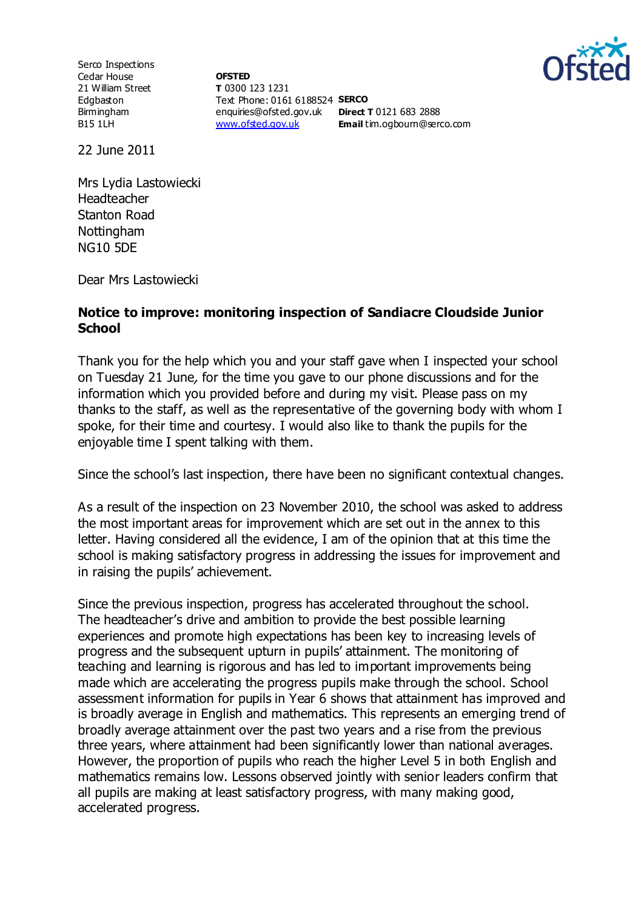

Serco Inspections Cedar House 21 William Street Edgbaston Birmingham B15 1LH

**OFSTED T** 0300 123 1231 Text Phone: 0161 6188524 **SERCO** enquiries@ofsted.gov.uk **Direct T** 0121 683 2888 [www.ofsted.gov.uk](http://www.ofsted.gov.uk/)

**Email** tim.ogbourn@serco.com

22 June 2011

Mrs Lydia Lastowiecki Headteacher Stanton Road **Nottingham** NG10 5DE

Dear Mrs Lastowiecki

## **Notice to improve: monitoring inspection of Sandiacre Cloudside Junior School**

Thank you for the help which you and your staff gave when I inspected your school on Tuesday 21 June, for the time you gave to our phone discussions and for the information which you provided before and during my visit. Please pass on my thanks to the staff, as well as the representative of the governing body with whom I spoke, for their time and courtesy. I would also like to thank the pupils for the enjoyable time I spent talking with them.

Since the school's last inspection, there have been no significant contextual changes.

As a result of the inspection on 23 November 2010, the school was asked to address the most important areas for improvement which are set out in the annex to this letter. Having considered all the evidence, I am of the opinion that at this time the school is making satisfactory progress in addressing the issues for improvement and in raising the pupils' achievement.

Since the previous inspection, progress has accelerated throughout the school. The headteacher's drive and ambition to provide the best possible learning experiences and promote high expectations has been key to increasing levels of progress and the subsequent upturn in pupils' attainment. The monitoring of teaching and learning is rigorous and has led to important improvements being made which are accelerating the progress pupils make through the school. School assessment information for pupils in Year 6 shows that attainment has improved and is broadly average in English and mathematics. This represents an emerging trend of broadly average attainment over the past two years and a rise from the previous three years, where attainment had been significantly lower than national averages. However, the proportion of pupils who reach the higher Level 5 in both English and mathematics remains low. Lessons observed jointly with senior leaders confirm that all pupils are making at least satisfactory progress, with many making good, accelerated progress.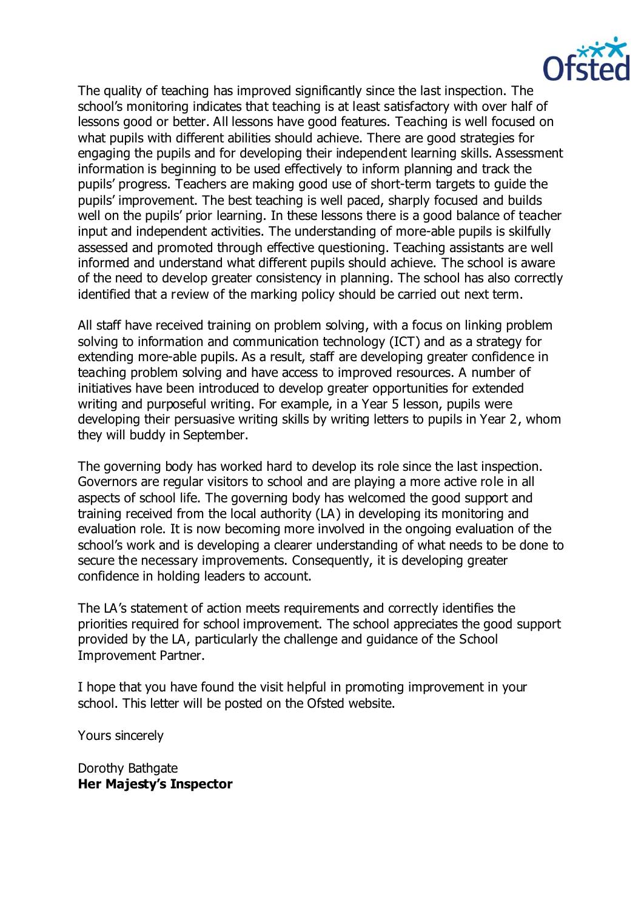

The quality of teaching has improved significantly since the last inspection. The school's monitoring indicates that teaching is at least satisfactory with over half of lessons good or better. All lessons have good features. Teaching is well focused on what pupils with different abilities should achieve. There are good strategies for engaging the pupils and for developing their independent learning skills. Assessment information is beginning to be used effectively to inform planning and track the pupils' progress. Teachers are making good use of short-term targets to guide the pupils' improvement. The best teaching is well paced, sharply focused and builds well on the pupils' prior learning. In these lessons there is a good balance of teacher input and independent activities. The understanding of more-able pupils is skilfully assessed and promoted through effective questioning. Teaching assistants are well informed and understand what different pupils should achieve. The school is aware of the need to develop greater consistency in planning. The school has also correctly identified that a review of the marking policy should be carried out next term.

All staff have received training on problem solving, with a focus on linking problem solving to information and communication technology (ICT) and as a strategy for extending more-able pupils. As a result, staff are developing greater confidence in teaching problem solving and have access to improved resources. A number of initiatives have been introduced to develop greater opportunities for extended writing and purposeful writing. For example, in a Year 5 lesson, pupils were developing their persuasive writing skills by writing letters to pupils in Year 2, whom they will buddy in September.

The governing body has worked hard to develop its role since the last inspection. Governors are regular visitors to school and are playing a more active role in all aspects of school life. The governing body has welcomed the good support and training received from the local authority (LA) in developing its monitoring and evaluation role. It is now becoming more involved in the ongoing evaluation of the school's work and is developing a clearer understanding of what needs to be done to secure the necessary improvements. Consequently, it is developing greater confidence in holding leaders to account.

The LA's statement of action meets requirements and correctly identifies the priorities required for school improvement. The school appreciates the good support provided by the LA, particularly the challenge and guidance of the School Improvement Partner.

I hope that you have found the visit helpful in promoting improvement in your school. This letter will be posted on the Ofsted website.

Yours sincerely

Dorothy Bathgate **Her Majesty's Inspector**